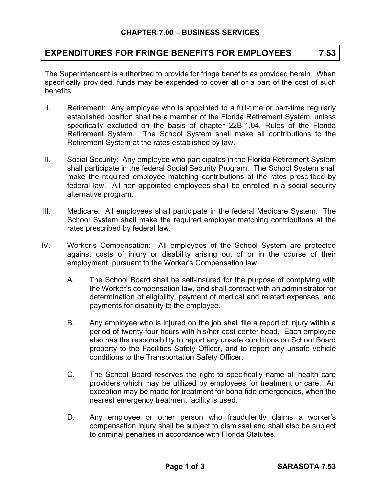## **EXPENDITURES FOR FRINGE BENEFITS FOR EMPLOYEES 7.53**

The Superintendent is authorized to provide for fringe benefits as provided herein. When specifically provided, funds may be expended to cover all or a part of the cost of such benefits.

- I. Retirement: Any employee who is appointed to a full-time or part-time regularly established position shall be a member of the Florida Retirement System, unless specifically excluded on the basis of chapter 22B-1.04, Rules of the Florida Retirement System. The School System shall make all contributions to the Retirement System at the rates established by law.
- II. Social Security: Any employee who participates in the Florida Retirement System shall participate in the federal Social Security Program. The School System shall make the required employee matching contributions at the rates prescribed by federal law. All non-appointed employees shall be enrolled in a social security alternative program.
- III. Medicare: All employees shall participate in the federal Medicare System. The School System shall make the required employer matching contributions at the rates prescribed by federal law.
- IV. Worker's Compensation: All employees of the School System are protected against costs of injury or disability arising out of or in the course of their employment, pursuant to the Worker's Compensation law.
	- A. The School Board shall be self-insured for the purpose of complying with the Worker's compensation law, and shall contract with an administrator for determination of eligibility, payment of medical and related expenses, and payments for disability to the employee.
	- B. Any employee who is injured on the job shall file a report of injury within a period of twenty-four hours with his/her cost center head. Each employee also has the responsibility to report any unsafe conditions on School Board property to the Facilities Safety Officer, and to report any unsafe vehicle conditions to the Transportation Safety Officer.
	- C. The School Board reserves the right to specifically name all health care providers which may be utilized by employees for treatment or care. An exception may be made for treatment for bona fide emergencies, when the nearest emergency treatment facility is used.
	- D. Any employee or other person who fraudulently claims a worker's compensation injury shall be subject to dismissal and shall also be subject to criminal penalties in accordance with Florida Statutes.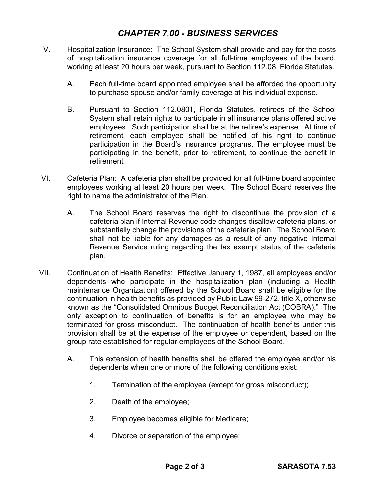## *CHAPTER 7.00 - BUSINESS SERVICES*

- V. Hospitalization Insurance: The School System shall provide and pay for the costs of hospitalization insurance coverage for all full-time employees of the board, working at least 20 hours per week, pursuant to Section 112.08, Florida Statutes.
	- A. Each full-time board appointed employee shall be afforded the opportunity to purchase spouse and/or family coverage at his individual expense.
	- B. Pursuant to Section 112.0801, Florida Statutes, retirees of the School System shall retain rights to participate in all insurance plans offered active employees. Such participation shall be at the retiree's expense. At time of retirement, each employee shall be notified of his right to continue participation in the Board's insurance programs. The employee must be participating in the benefit, prior to retirement, to continue the benefit in retirement.
- VI. Cafeteria Plan: A cafeteria plan shall be provided for all full-time board appointed employees working at least 20 hours per week. The School Board reserves the right to name the administrator of the Plan.
	- A. The School Board reserves the right to discontinue the provision of a cafeteria plan if Internal Revenue code changes disallow cafeteria plans, or substantially change the provisions of the cafeteria plan. The School Board shall not be liable for any damages as a result of any negative Internal Revenue Service ruling regarding the tax exempt status of the cafeteria plan.
- VII. Continuation of Health Benefits: Effective January 1, 1987, all employees and/or dependents who participate in the hospitalization plan (including a Health maintenance Organization) offered by the School Board shall be eligible for the continuation in health benefits as provided by Public Law 99-272, title X, otherwise known as the "Consolidated Omnibus Budget Reconciliation Act (COBRA)." The only exception to continuation of benefits is for an employee who may be terminated for gross misconduct. The continuation of health benefits under this provision shall be at the expense of the employee or dependent, based on the group rate established for regular employees of the School Board.
	- A. This extension of health benefits shall be offered the employee and/or his dependents when one or more of the following conditions exist:
		- 1. Termination of the employee (except for gross misconduct);
		- 2. Death of the employee;
		- 3. Employee becomes eligible for Medicare;
		- 4. Divorce or separation of the employee;